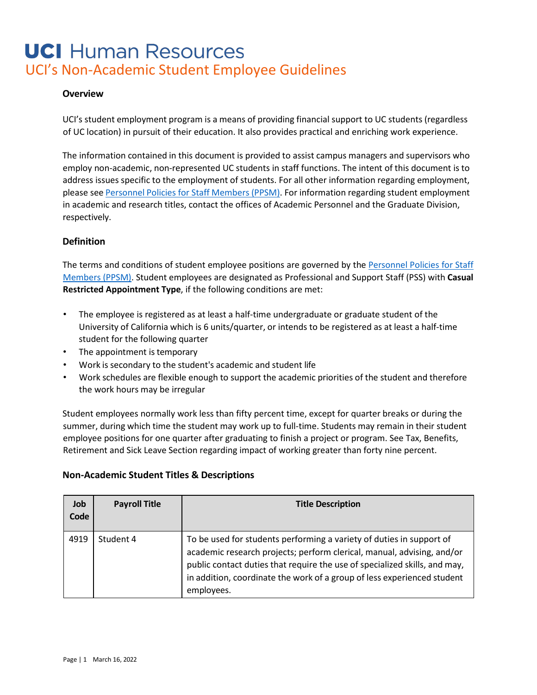### **Overview**

UCI's student employment program is a means of providing financial support to UC students (regardless of UC location) in pursuit of their education. It also provides practical and enriching work experience.

The information contained in this document is provided to assist campus managers and supervisors who employ non-academic, non-represented UC students in staff functions. The intent of this document is to address issues specific to the employment of students. For all other information regarding employment, please see [Personnel](https://www.hr.uci.edu/partnership/policies-procedures/) Policies for Staff Members (PPSM[\). F](https://www.hr.uci.edu/partnership/policies-procedures/)or information regarding student employment in academic and research titles, contact the offices of Academic Personnel and the Graduate Division, respectively.

### **Definition**

The terms and conditions of student employee positions are governed by the Personnel [Policies for Staff](https://www.hr.uci.edu/partnership/policies-procedures/) [Members](https://www.hr.uci.edu/partnership/policies-procedures/) (PPSM[\). S](https://www.hr.uci.edu/partnership/policies-procedures/)tudent employees are designated as Professional and Support Staff (PSS) with **Casual Restricted Appointment Type**, if the following conditions are met:

- The employee is registered as at least a half-time undergraduate or graduate student of the University of California which is 6 units/quarter, or intends to be registered as at least a half-time student for the following quarter
- The appointment is temporary
- Work is secondary to the student's academic and student life
- Work schedules are flexible enough to support the academic priorities of the student and therefore the work hours may be irregular

Student employees normally work less than fifty percent time, except for quarter breaks or during the summer, during which time the student may work up to full-time. Students may remain in their student employee positions for one quarter after graduating to finish a project or program. See Tax, Benefits, Retirement and Sick Leave Section regarding impact of working greater than forty nine percent.

### **Non-Academic Student Titles & Descriptions**

| Job<br>Code | <b>Payroll Title</b> | <b>Title Description</b>                                                                                                                                                                                                                                                                                              |
|-------------|----------------------|-----------------------------------------------------------------------------------------------------------------------------------------------------------------------------------------------------------------------------------------------------------------------------------------------------------------------|
| 4919        | Student 4            | To be used for students performing a variety of duties in support of<br>academic research projects; perform clerical, manual, advising, and/or<br>public contact duties that require the use of specialized skills, and may,<br>in addition, coordinate the work of a group of less experienced student<br>employees. |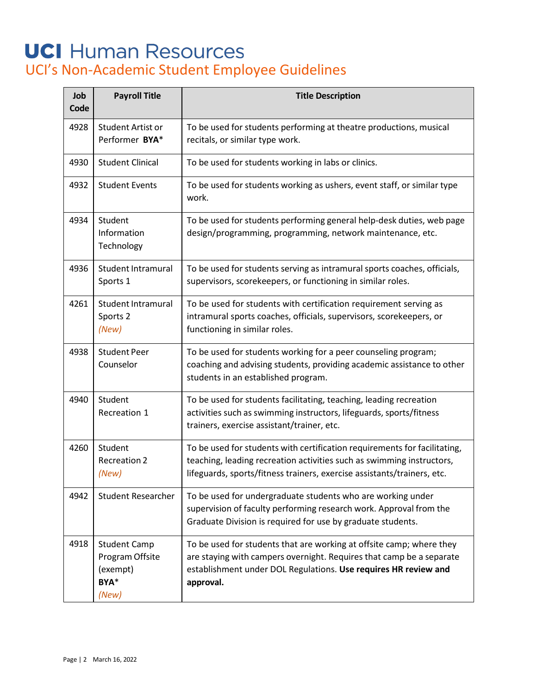| Job<br>Code | <b>Payroll Title</b>                                                | <b>Title Description</b>                                                                                                                                                                                                      |
|-------------|---------------------------------------------------------------------|-------------------------------------------------------------------------------------------------------------------------------------------------------------------------------------------------------------------------------|
| 4928        | Student Artist or<br>Performer BYA*                                 | To be used for students performing at theatre productions, musical<br>recitals, or similar type work.                                                                                                                         |
| 4930        | <b>Student Clinical</b>                                             | To be used for students working in labs or clinics.                                                                                                                                                                           |
| 4932        | <b>Student Events</b>                                               | To be used for students working as ushers, event staff, or similar type<br>work.                                                                                                                                              |
| 4934        | Student<br>Information<br>Technology                                | To be used for students performing general help-desk duties, web page<br>design/programming, programming, network maintenance, etc.                                                                                           |
| 4936        | <b>Student Intramural</b><br>Sports 1                               | To be used for students serving as intramural sports coaches, officials,<br>supervisors, scorekeepers, or functioning in similar roles.                                                                                       |
| 4261        | <b>Student Intramural</b><br>Sports 2<br>(New)                      | To be used for students with certification requirement serving as<br>intramural sports coaches, officials, supervisors, scorekeepers, or<br>functioning in similar roles.                                                     |
| 4938        | <b>Student Peer</b><br>Counselor                                    | To be used for students working for a peer counseling program;<br>coaching and advising students, providing academic assistance to other<br>students in an established program.                                               |
| 4940        | Student<br>Recreation 1                                             | To be used for students facilitating, teaching, leading recreation<br>activities such as swimming instructors, lifeguards, sports/fitness<br>trainers, exercise assistant/trainer, etc.                                       |
| 4260        | Student<br><b>Recreation 2</b><br>(New)                             | To be used for students with certification requirements for facilitating,<br>teaching, leading recreation activities such as swimming instructors,<br>lifeguards, sports/fitness trainers, exercise assistants/trainers, etc. |
| 4942        | <b>Student Researcher</b>                                           | To be used for undergraduate students who are working under<br>supervision of faculty performing research work. Approval from the<br>Graduate Division is required for use by graduate students.                              |
| 4918        | <b>Student Camp</b><br>Program Offsite<br>(exempt)<br>BYA*<br>(New) | To be used for students that are working at offsite camp; where they<br>are staying with campers overnight. Requires that camp be a separate<br>establishment under DOL Regulations. Use requires HR review and<br>approval.  |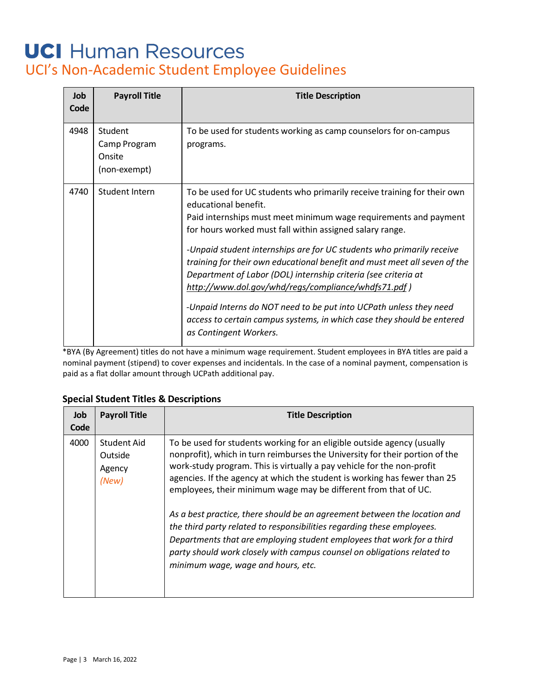| Job<br>Code | <b>Payroll Title</b>                              | <b>Title Description</b>                                                                                                                                                                                                                                                                                                                                                                                                                                                                                                                                                                                                                                                                 |
|-------------|---------------------------------------------------|------------------------------------------------------------------------------------------------------------------------------------------------------------------------------------------------------------------------------------------------------------------------------------------------------------------------------------------------------------------------------------------------------------------------------------------------------------------------------------------------------------------------------------------------------------------------------------------------------------------------------------------------------------------------------------------|
| 4948        | Student<br>Camp Program<br>Onsite<br>(non-exempt) | To be used for students working as camp counselors for on-campus<br>programs.                                                                                                                                                                                                                                                                                                                                                                                                                                                                                                                                                                                                            |
| 4740        | Student Intern                                    | To be used for UC students who primarily receive training for their own<br>educational benefit.<br>Paid internships must meet minimum wage requirements and payment<br>for hours worked must fall within assigned salary range.<br>-Unpaid student internships are for UC students who primarily receive<br>training for their own educational benefit and must meet all seven of the<br>Department of Labor (DOL) internship criteria (see criteria at<br>http://www.dol.gov/whd/regs/compliance/whdfs71.pdf)<br>-Unpaid Interns do NOT need to be put into UCPath unless they need<br>access to certain campus systems, in which case they should be entered<br>as Contingent Workers. |

\*BYA (By Agreement) titles do not have a minimum wage requirement. Student employees in BYA titles are paid a nominal payment (stipend) to cover expenses and incidentals. In the case of a nominal payment, compensation is paid as a flat dollar amount through UCPath additional pay.

### **Special Student Titles & Descriptions**

| <b>Job</b><br>Code | <b>Payroll Title</b>                      | <b>Title Description</b>                                                                                                                                                                                                                                                                                                                                                                                                                                                                                                                                                                                                                                                                                                            |
|--------------------|-------------------------------------------|-------------------------------------------------------------------------------------------------------------------------------------------------------------------------------------------------------------------------------------------------------------------------------------------------------------------------------------------------------------------------------------------------------------------------------------------------------------------------------------------------------------------------------------------------------------------------------------------------------------------------------------------------------------------------------------------------------------------------------------|
| 4000               | Student Aid<br>Outside<br>Agency<br>(New) | To be used for students working for an eligible outside agency (usually<br>nonprofit), which in turn reimburses the University for their portion of the<br>work-study program. This is virtually a pay vehicle for the non-profit<br>agencies. If the agency at which the student is working has fewer than 25<br>employees, their minimum wage may be different from that of UC.<br>As a best practice, there should be an agreement between the location and<br>the third party related to responsibilities regarding these employees.<br>Departments that are employing student employees that work for a third<br>party should work closely with campus counsel on obligations related to<br>minimum wage, wage and hours, etc. |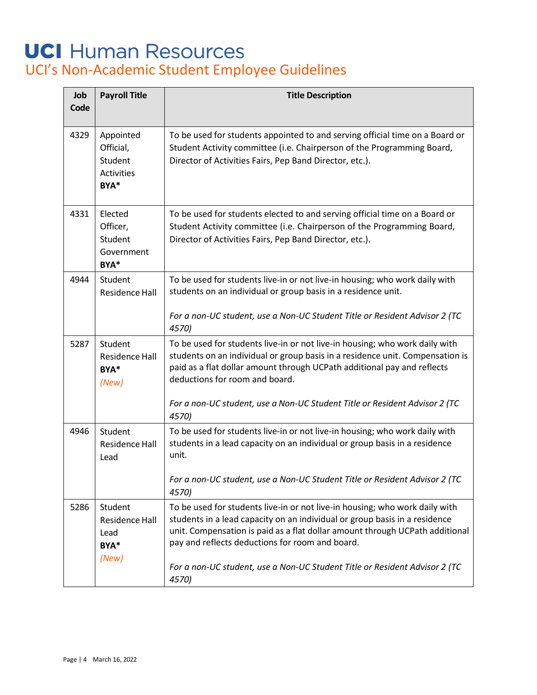| Job<br>Code | <b>Payroll Title</b>                                           | <b>Title Description</b>                                                                                                                                                                                                                                                                                                                                |
|-------------|----------------------------------------------------------------|---------------------------------------------------------------------------------------------------------------------------------------------------------------------------------------------------------------------------------------------------------------------------------------------------------------------------------------------------------|
| 4329        | Appointed<br>Official,<br>Student<br><b>Activities</b><br>BYA* | To be used for students appointed to and serving official time on a Board or<br>Student Activity committee (i.e. Chairperson of the Programming Board,<br>Director of Activities Fairs, Pep Band Director, etc.).                                                                                                                                       |
| 4331        | Elected<br>Officer,<br>Student<br>Government<br>BYA*           | To be used for students elected to and serving official time on a Board or<br>Student Activity committee (i.e. Chairperson of the Programming Board,<br>Director of Activities Fairs, Pep Band Director, etc.).                                                                                                                                         |
| 4944        | Student<br>Residence Hall                                      | To be used for students live-in or not live-in housing; who work daily with<br>students on an individual or group basis in a residence unit.<br>For a non-UC student, use a Non-UC Student Title or Resident Advisor 2 (TC<br>4570)                                                                                                                     |
| 5287        | Student<br><b>Residence Hall</b><br>BYA*<br>(New)              | To be used for students live-in or not live-in housing; who work daily with<br>students on an individual or group basis in a residence unit. Compensation is<br>paid as a flat dollar amount through UCPath additional pay and reflects<br>deductions for room and board.<br>For a non-UC student, use a Non-UC Student Title or Resident Advisor 2 (TC |
|             |                                                                | 4570)                                                                                                                                                                                                                                                                                                                                                   |
| 4946        | Student<br><b>Residence Hall</b><br>Lead                       | To be used for students live-in or not live-in housing; who work daily with<br>students in a lead capacity on an individual or group basis in a residence<br>unit.                                                                                                                                                                                      |
|             |                                                                | For a non-UC student, use a Non-UC Student Title or Resident Advisor 2 (TC<br>4570)                                                                                                                                                                                                                                                                     |
| 5286        | Student<br><b>Residence Hall</b><br>Lead<br>BYA*               | To be used for students live-in or not live-in housing; who work daily with<br>students in a lead capacity on an individual or group basis in a residence<br>unit. Compensation is paid as a flat dollar amount through UCPath additional<br>pay and reflects deductions for room and board.                                                            |
|             | (New)                                                          | For a non-UC student, use a Non-UC Student Title or Resident Advisor 2 (TC<br>4570)                                                                                                                                                                                                                                                                     |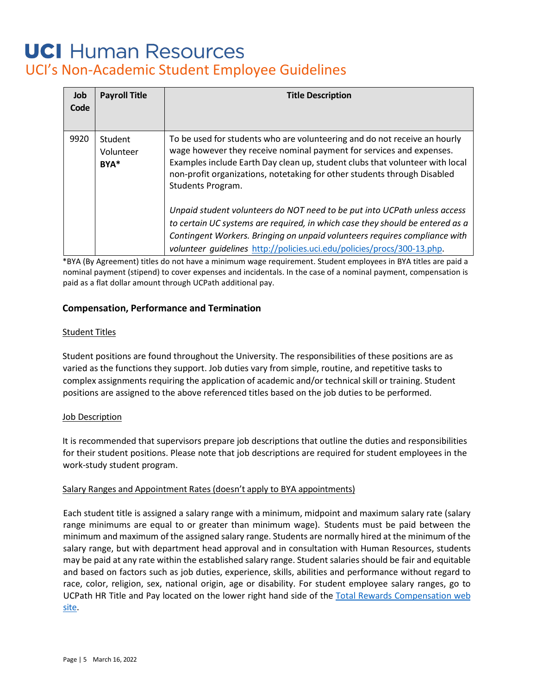| Job<br>Code | <b>Payroll Title</b>         | <b>Title Description</b>                                                                                                                                                                                                                                                                                                           |
|-------------|------------------------------|------------------------------------------------------------------------------------------------------------------------------------------------------------------------------------------------------------------------------------------------------------------------------------------------------------------------------------|
| 9920        | Student<br>Volunteer<br>BYA* | To be used for students who are volunteering and do not receive an hourly<br>wage however they receive nominal payment for services and expenses.<br>Examples include Earth Day clean up, student clubs that volunteer with local<br>non-profit organizations, notetaking for other students through Disabled<br>Students Program. |
|             |                              | Unpaid student volunteers do NOT need to be put into UCPath unless access<br>to certain UC systems are required, in which case they should be entered as a<br>Contingent Workers. Bringing on unpaid volunteers requires compliance with<br>volunteer guidelines http://policies.uci.edu/policies/procs/300-13.php.                |

\*BYA (By Agreement) titles do not have a minimum wage requirement. Student employees in BYA titles are paid a nominal payment (stipend) to cover expenses and incidentals. In the case of a nominal payment, compensation is paid as a flat dollar amount through UCPath additional pay.

### **Compensation, Performance and Termination**

### Student Titles

Student positions are found throughout the University. The responsibilities of these positions are as varied as the functions they support. Job duties vary from simple, routine, and repetitive tasks to complex assignments requiring the application of academic and/or technical skill or training. Student positions are assigned to the above referenced titles based on the job duties to be performed.

### Job Description

It is recommended that supervisors prepare job descriptions that outline the duties and responsibilities for their student positions. Please note that job descriptions are required for student employees in the work-study student program.

### Salary Ranges and Appointment Rates (doesn't apply to BYA appointments)

Each student title is assigned a salary range with a minimum, midpoint and maximum salary rate (salary range minimums are equal to or greater than minimum wage). Students must be paid between the minimum and maximum of the assigned salary range. Students are normally hired at the minimum of the salary range, but with department head approval and in consultation with Human Resources, students may be paid at any rate within the established salary range. Student salaries should be fair and equitable and based on factors such as job duties, experience, skills, abilities and performance without regard to race, color, religion, sex, national origin, age or disability. For student employee salary ranges, go to UCPath HR Title and Pay located on the lower right hand side of t[he Total Rewards Compensation web](https://www.hr.uci.edu/partnership/totalrewards/compensation.php) [site.](https://www.hr.uci.edu/partnership/totalrewards/compensation.php)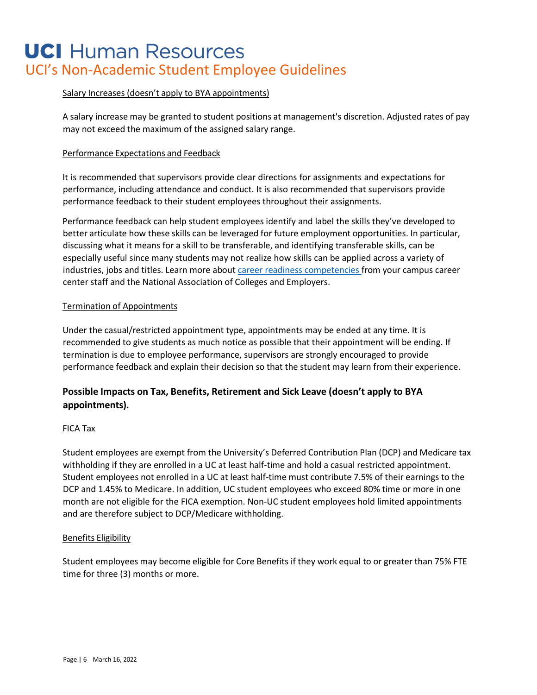### Salary Increases (doesn't apply to BYA appointments)

A salary increase may be granted to student positions at management's discretion. Adjusted rates of pay may not exceed the maximum of the assigned salary range.

#### Performance Expectations and Feedback

It is recommended that supervisors provide clear directions for assignments and expectations for performance, including attendance and conduct. It is also recommended that supervisors provide performance feedback to their student employees throughout their assignments.

Performance feedback can help student employees identify and label the skills they've developed to better articulate how these skills can be leveraged for future employment opportunities. In particular, discussing what it means for a skill to be transferable, and identifying transferable skills, can be especially useful since many students may not realize how skills can be applied across a variety of industries, jobs and titles. Learn more about [career readiness competencies fr](https://www.naceweb.org/career-readiness/competencies/career-readiness-defined/)om your campus career center staff and the National Association of Colleges and Employers.

#### Termination of Appointments

Under the casual/restricted appointment type, appointments may be ended at any time. It is recommended to give students as much notice as possible that their appointment will be ending. If termination is due to employee performance, supervisors are strongly encouraged to provide performance feedback and explain their decision so that the student may learn from their experience.

### **Possible Impacts on Tax, Benefits, Retirement and Sick Leave (doesn't apply to BYA appointments).**

### FICA Tax

Student employees are exempt from the University's Deferred Contribution Plan (DCP) and Medicare tax withholding if they are enrolled in a UC at least half-time and hold a casual restricted appointment. Student employees not enrolled in a UC at least half-time must contribute 7.5% of their earnings to the DCP and 1.45% to Medicare. In addition, UC student employees who exceed 80% time or more in one month are not eligible for the FICA exemption. Non-UC student employees hold limited appointments and are therefore subject to DCP/Medicare withholding.

#### Benefits Eligibility

Student employees may become eligible for Core Benefits if they work equal to or greater than 75% FTE time for three (3) months or more.